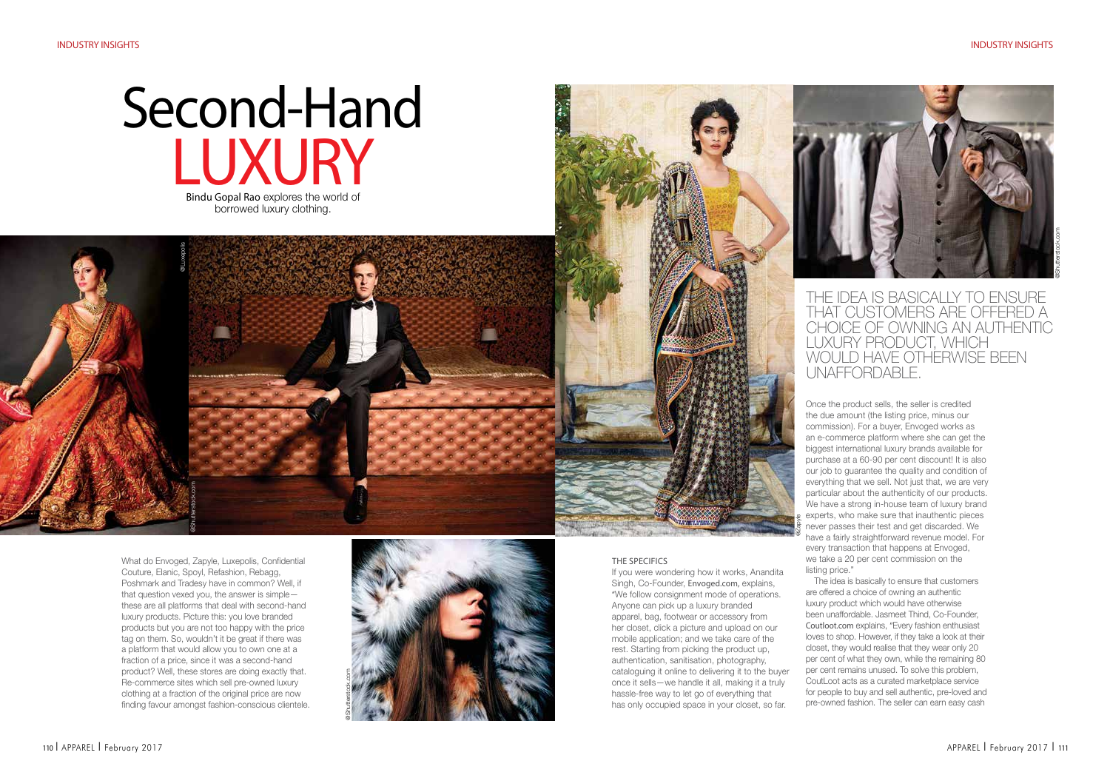# Bindu Gopal Rao explores the world of **LUXURY** Second-Hand

borrowed luxury clothing.

What do Envoged, Zapyle, Luxepolis, Confidential Couture, Elanic, Spoyl, Refashion, Rebagg, Poshmark and Tradesy have in common? Well, if that question vexed you, the answer is simple these are all platforms that deal with second-hand luxury products. Picture this: you love branded products but you are not too happy with the price tag on them. So, wouldn't it be great if there was a platform that would allow you to own one at a fraction of a price, since it was a second-hand product? Well, these stores are doing exactly that. Re-commerce sites which sell pre-owned luxury clothing at a fraction of the original price are now finding favour amongst fashion-conscious clientele.

@Shutterstock.com

@Luxepolis





The Specifics

If you were wondering how it works, Anandita Singh, Co-Founder, Envoged.com, explains, "We follow consignment mode of operations. Anyone can pick up a luxury branded apparel, bag, footwear or accessory from her closet, click a picture and upload on our mobile application; and we take care of the rest. Starting from picking the product up, authentication, sanitisation, photography, cataloguing it online to delivering it to the buyer once it sells—we handle it all, making it a truly hassle-free way to let go of everything that has only occupied space in your closet, so far.



# the idea is basically to ensure that customers are offered a choice of owning an authentic luxury product, which would have otherwise been unaffordable.

Once the product sells, the seller is credited the due amount (the listing price, minus our commission). For a buyer, Envoged works as an e-commerce platform where she can get the biggest international luxury brands available for purchase at a 60-90 per cent discount! It is also our job to guarantee the quality and condition of everything that we sell. Not just that, we are very particular about the authenticity of our products. We have a strong in-house team of luxury brand experts, who make sure that inauthentic pieces never passes their test and get discarded. We have a fairly straightforward revenue model. For every transaction that happens at Envoged, we take a 20 per cent commission on the listing price."

@Zapyle

The idea is basically to ensure that customers are offered a choice of owning an authentic luxury product which would have otherwise been unaffordable. Jasmeet Thind, Co-Founder, Coutloot.com explains, "Every fashion enthusiast loves to shop. However, if they take a look at their closet, they would realise that they wear only 20 per cent of what they own, while the remaining 80 per cent remains unused. To solve this problem, CoutLoot acts as a curated marketplace service for people to buy and sell authentic, pre-loved and pre-owned fashion. The seller can earn easy cash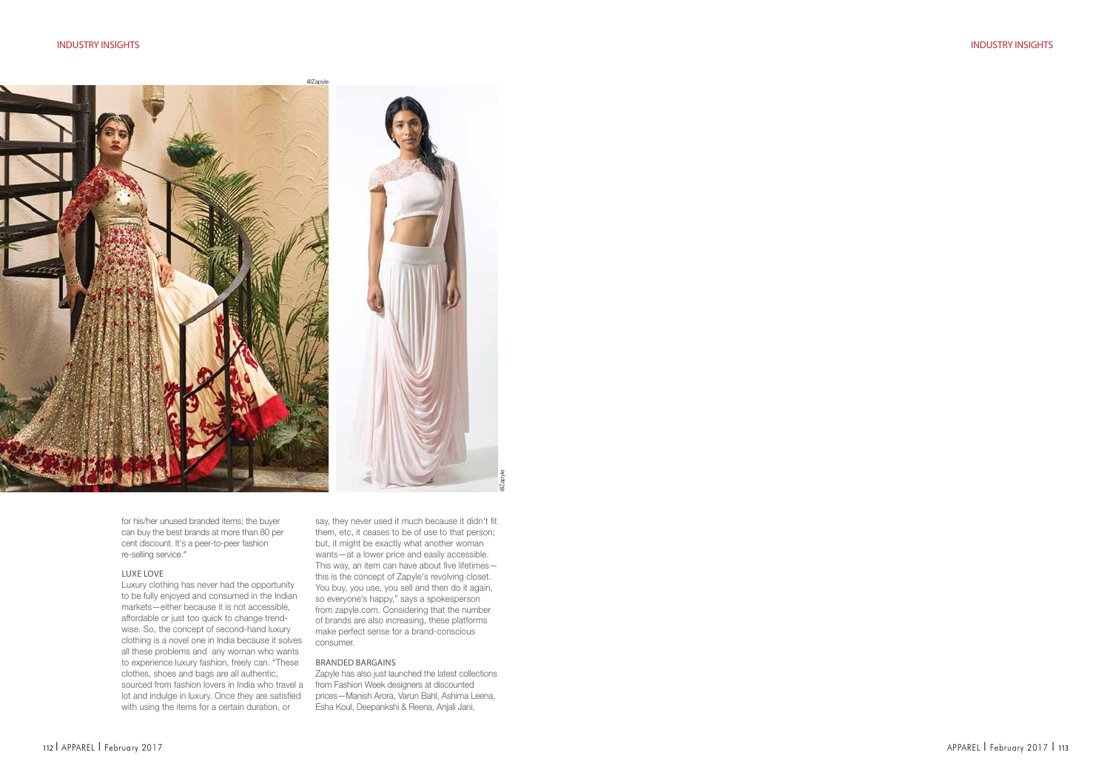

for his/her unused branded items; the buyer can buy the best brands at more than 80 per cent discount. It's a peer-to-peer fashion re-selling service."

## Luxe Love

Luxury clothing has never had the opportunity to be fully enjoyed and consumed in the Indian markets—either because it is not accessible, affordable or just too quick to change trendwise. So, the concept of second-hand luxury clothing is a novel one in India because it solves all these problems and any woman who wants to experience luxury fashion, freely can. "These clothes, shoes and bags are all authentic, sourced from fashion lovers in India who travel a from Fashion Week designers at discounted lot and indulge in luxury. Once they are satisfied with using the items for a certain duration, or

say, they never used it much because it didn't fit them, etc, it ceases to be of use to that person; but, it might be exactly what another woman wants—at a lower price and easily accessible. This way, an item can have about five lifetimes this is the concept of Zapyle's revolving closet. You buy, you use, you sell and then do it again, so everyone's happy," says a spokesperson from zapyle.com. Considering that the number of brands are also increasing, these platforms make perfect sense for a brand-conscious consumer.

@Zapyle

#### Branded Bargains

Zapyle has also just launched the latest collections prices—Manish Arora, Varun Bahl, Ashima Leena, Esha Koul, Deepankshi & Reena, Anjali Jani,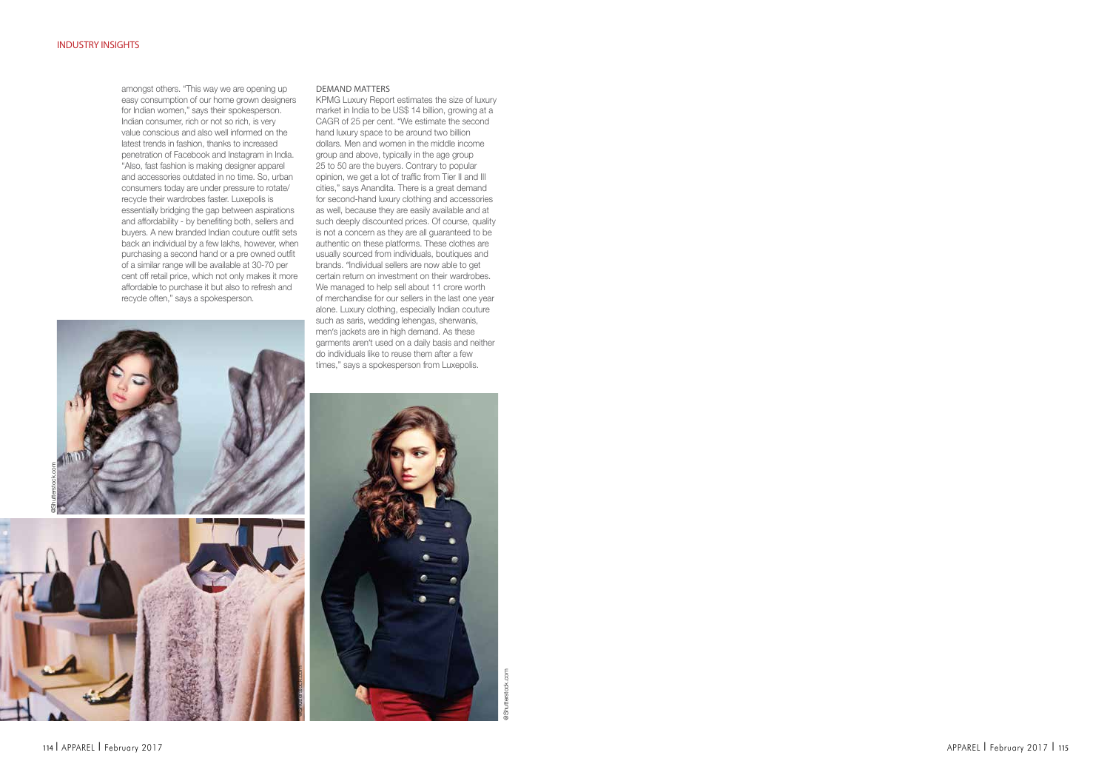amongst others. "This way we are opening up easy consumption of our home grown designers for Indian women," says their spokesperson. Indian consumer, rich or not so rich, is very value conscious and also well informed on the latest trends in fashion, thanks to increased penetration of Facebook and Instagram in India. "Also, fast fashion is making designer apparel and accessories outdated in no time. So, urban consumers today are under pressure to rotate/ recycle their wardrobes faster. Luxepolis is essentially bridging the gap between aspirations and affordability - by benefiting both, sellers and buyers. A new branded Indian couture outfit sets back an individual by a few lakhs, however, when purchasing a second hand or a pre owned outfit of a similar range will be available at 30-70 per cent off retail price, which not only makes it more affordable to purchase it but also to refresh and recycle often," says a spokesperson.

## DEMAND MATTE

KPMG Luxury Report estimates the size of luxury market in India to be US\$ 14 billion, growing at a CAGR of 25 per cent. "We estimate the second hand luxury space to be around two billion dollars. Men and women in the middle income group and above, typically in the age group 25 to 50 are the buyers. Contrary to popular opinion, we get a lot of traffic from Tier II and III cities," says Anandita. There is a great demand for second-hand luxury clothing and accessories as well, because they are easily available and at such deeply discounted prices. Of course, quality is not a concern as they are all guaranteed to be authentic on these platforms. These clothes are usually sourced from individuals, boutiques and brands. "Individual sellers are now able to get certain return on investment on their wardrobes. We managed to help sell about 11 crore worth of merchandise for our sellers in the last one year alone. Luxury clothing, especially Indian couture such as saris, wedding lehengas, sherwanis, men 's jackets are in high demand. As these garments aren 't used on a daily basis and neither do individuals like to reuse them after a few times," says a spokesperson from Luxepolis.





@Shutterstock.com